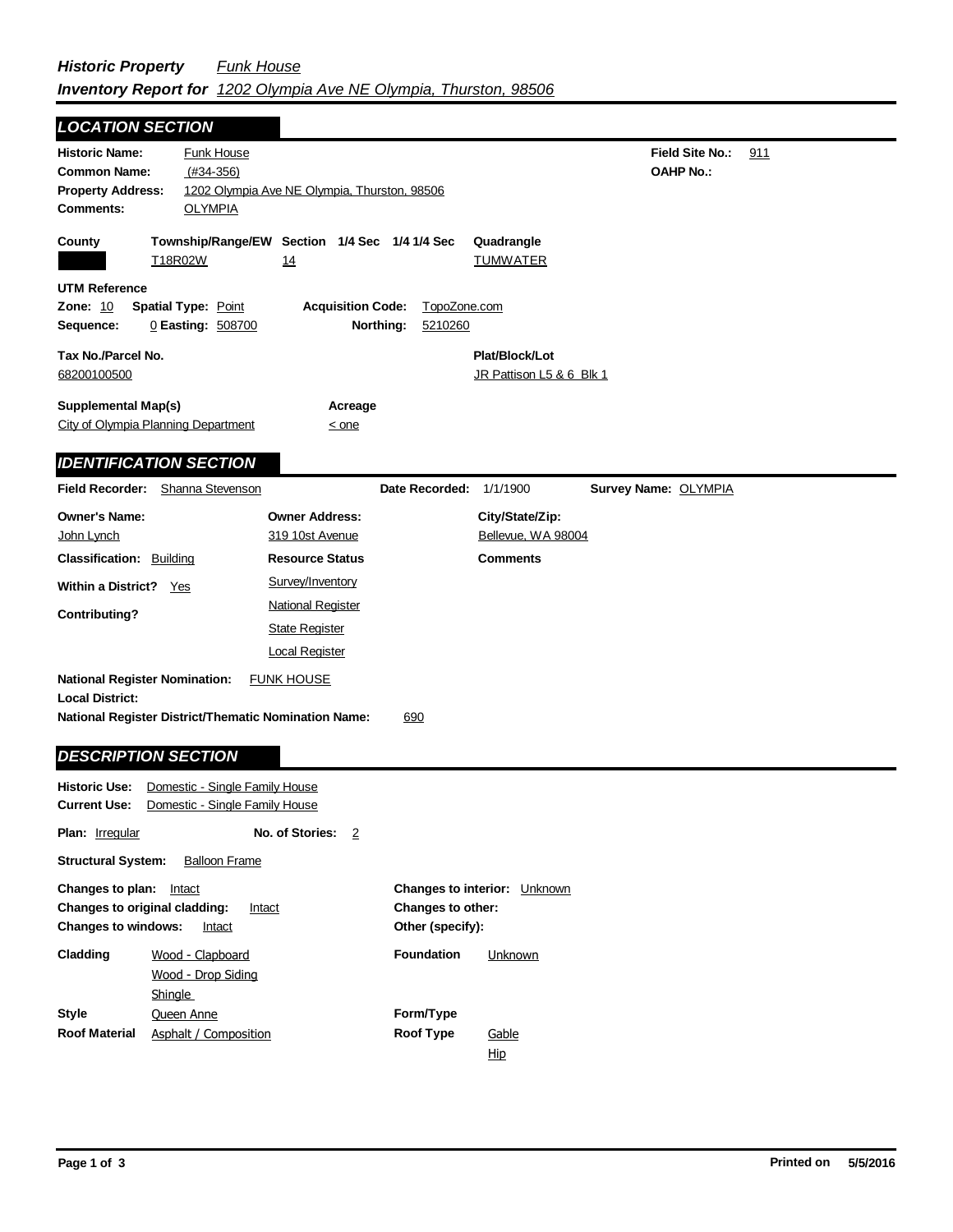| <b>LOCATION SECTION</b>                                                                      |                                                                                           |                                                                                                |                                       |                                                          |                                            |     |
|----------------------------------------------------------------------------------------------|-------------------------------------------------------------------------------------------|------------------------------------------------------------------------------------------------|---------------------------------------|----------------------------------------------------------|--------------------------------------------|-----|
| <b>Historic Name:</b><br><b>Common Name:</b><br><b>Property Address:</b><br><b>Comments:</b> | <b>Funk House</b><br>$(H34-356)$<br><b>OLYMPIA</b>                                        | 1202 Olympia Ave NE Olympia, Thurston, 98506                                                   |                                       |                                                          | <b>Field Site No.:</b><br><b>OAHP No.:</b> | 911 |
| County                                                                                       | T18R02W                                                                                   | Township/Range/EW Section 1/4 Sec 1/4 1/4 Sec<br>14                                            |                                       | Quadrangle<br><b>TUMWATER</b>                            |                                            |     |
| UTM Reference<br><b>Zone: 10</b><br>Sequence:                                                | Spatial Type: Point<br>0 Easting: 508700                                                  | <b>Acquisition Code:</b><br>Northing:                                                          | TopoZone.com<br>5210260               |                                                          |                                            |     |
| Tax No./Parcel No.<br>68200100500                                                            |                                                                                           |                                                                                                |                                       | Plat/Block/Lot<br>JR Pattison L5 & 6 Blk 1               |                                            |     |
| <b>Supplemental Map(s)</b>                                                                   | City of Olympia Planning Department                                                       | Acreage<br>$\leq$ one                                                                          |                                       |                                                          |                                            |     |
|                                                                                              | <b>IDENTIFICATION SECTION</b>                                                             |                                                                                                |                                       |                                                          |                                            |     |
| Field Recorder:                                                                              | Shanna Stevenson                                                                          |                                                                                                | Date Recorded: 1/1/1900               |                                                          | Survey Name: OLYMPIA                       |     |
| <b>Owner's Name:</b><br>John Lynch<br><b>Classification: Building</b>                        |                                                                                           | <b>Owner Address:</b><br>319 10st Avenue<br><b>Resource Status</b>                             |                                       | City/State/Zip:<br>Bellevue, WA 98004<br><b>Comments</b> |                                            |     |
| Within a District? Yes<br><b>Contributing?</b>                                               |                                                                                           | Survey/Inventory<br><b>National Register</b><br><b>State Register</b><br><b>Local Register</b> |                                       |                                                          |                                            |     |
| <b>National Register Nomination:</b><br><b>Local District:</b>                               | <b>National Register District/Thematic Nomination Name:</b><br><b>DESCRIPTION SECTION</b> | <b>FUNK HOUSE</b>                                                                              | 690                                   |                                                          |                                            |     |
| Historic Use:<br>Current Use:                                                                | Domestic - Single Family House<br>Domestic - Single Family House                          |                                                                                                |                                       |                                                          |                                            |     |
| Plan: Irregular                                                                              |                                                                                           | No. of Stories: 2                                                                              |                                       |                                                          |                                            |     |
| <b>Structural System:</b>                                                                    | <b>Balloon Frame</b>                                                                      |                                                                                                |                                       |                                                          |                                            |     |
| Changes to plan: Intact<br>Changes to original cladding:<br><b>Changes to windows:</b>       | Intact<br>Intact                                                                          |                                                                                                | Changes to other:<br>Other (specify): | Changes to interior: Unknown                             |                                            |     |
| Cladding                                                                                     | Wood - Clapboard<br>Wood - Drop Siding<br><b>Shingle</b>                                  |                                                                                                | <b>Foundation</b>                     | Unknown                                                  |                                            |     |
| <b>Style</b><br>Roof Material                                                                | Queen Anne<br><b>Asphalt / Composition</b>                                                |                                                                                                | Form/Type<br><b>Roof Type</b>         | Gable<br>Hip                                             |                                            |     |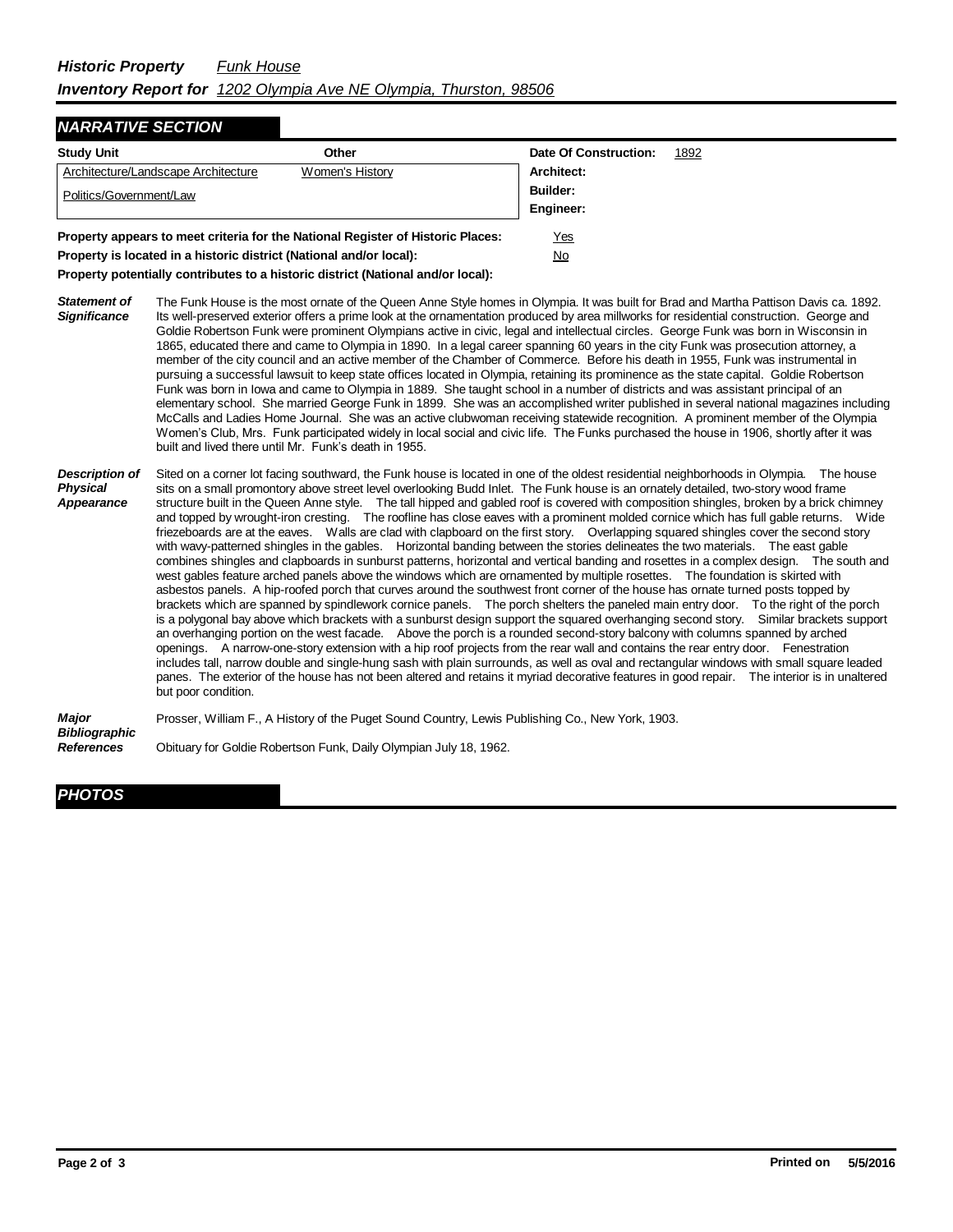## *NARRATIVE SECTION*

| <b>Study Unit</b>                   | Other                                                                           | Date Of Construction: | 1892 |
|-------------------------------------|---------------------------------------------------------------------------------|-----------------------|------|
| Architecture/Landscape Architecture | Women's History                                                                 | Architect:            |      |
| Politics/Government/Law             | <b>Builder:</b>                                                                 |                       |      |
|                                     |                                                                                 | Engineer:             |      |
|                                     | Property appears to meet criteria for the National Register of Historic Places: | Yes                   |      |

**Property is located in a historic district (National and/or local):** No

**Property potentially contributes to a historic district (National and/or local):**

- *Statement of Significance* The Funk House is the most ornate of the Queen Anne Style homes in Olympia. It was built for Brad and Martha Pattison Davis ca. 1892. Its well-preserved exterior offers a prime look at the ornamentation produced by area millworks for residential construction. George and Goldie Robertson Funk were prominent Olympians active in civic, legal and intellectual circles. George Funk was born in Wisconsin in 1865, educated there and came to Olympia in 1890. In a legal career spanning 60 years in the city Funk was prosecution attorney, a member of the city council and an active member of the Chamber of Commerce. Before his death in 1955, Funk was instrumental in pursuing a successful lawsuit to keep state offices located in Olympia, retaining its prominence as the state capital. Goldie Robertson Funk was born in Iowa and came to Olympia in 1889. She taught school in a number of districts and was assistant principal of an elementary school. She married George Funk in 1899. She was an accomplished writer published in several national magazines including McCalls and Ladies Home Journal. She was an active clubwoman receiving statewide recognition. A prominent member of the Olympia Women's Club, Mrs. Funk participated widely in local social and civic life. The Funks purchased the house in 1906, shortly after it was built and lived there until Mr. Funk's death in 1955.
- *Description of Physical Appearance* Sited on a corner lot facing southward, the Funk house is located in one of the oldest residential neighborhoods in Olympia. The house sits on a small promontory above street level overlooking Budd Inlet. The Funk house is an ornately detailed, two-story wood frame structure built in the Queen Anne style. The tall hipped and gabled roof is covered with composition shingles, broken by a brick chimney and topped by wrought-iron cresting. The roofline has close eaves with a prominent molded cornice which has full gable returns. Wide friezeboards are at the eaves. Walls are clad with clapboard on the first story. Overlapping squared shingles cover the second story with wavy-patterned shingles in the gables. Horizontal banding between the stories delineates the two materials. The east gable combines shingles and clapboards in sunburst patterns, horizontal and vertical banding and rosettes in a complex design. The south and west gables feature arched panels above the windows which are ornamented by multiple rosettes. The foundation is skirted with asbestos panels. A hip-roofed porch that curves around the southwest front corner of the house has ornate turned posts topped by brackets which are spanned by spindlework cornice panels. The porch shelters the paneled main entry door. To the right of the porch is a polygonal bay above which brackets with a sunburst design support the squared overhanging second story. Similar brackets support an overhanging portion on the west facade. Above the porch is a rounded second-story balcony with columns spanned by arched openings. A narrow-one-story extension with a hip roof projects from the rear wall and contains the rear entry door. Fenestration includes tall, narrow double and single-hung sash with plain surrounds, as well as oval and rectangular windows with small square leaded panes. The exterior of the house has not been altered and retains it myriad decorative features in good repair. The interior is in unaltered but poor condition.

*Major Bibliographic* Prosser, William F., A History of the Puget Sound Country, Lewis Publishing Co., New York, 1903.

*References* Obituary for Goldie Robertson Funk, Daily Olympian July 18, 1962.

## *PHOTOS*